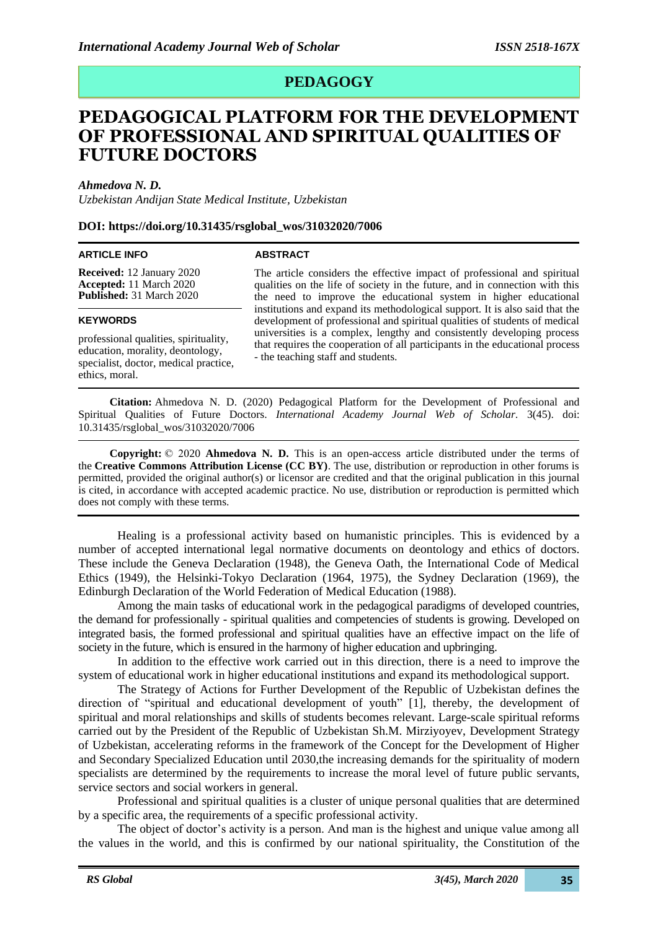## **PEDAGOGY**

# **PEDAGOGICAL PLATFORM FOR THE DEVELOPMENT OF PROFESSIONAL AND SPIRITUAL QUALITIES OF FUTURE DOCTORS**

*Ahmedova N. D.*

*Uzbekistan Andijan State Medical Institute, Uzbekistan*

#### **DOI: https://doi.org/10.31435/rsglobal\_wos/31032020/7006**

#### **ARTICLE INFO**

**Received:** 12 January 2020 **Accepted:** 11 March 2020 **Published:** 31 March 2020

#### **KEYWORDS**

professional qualities, spirituality, education, morality, deontology, specialist, doctor, medical practice, ethics, moral.

#### **ABSTRACT**

The article considers the effective impact of professional and spiritual qualities on the life of society in the future, and in connection with this the need to improve the educational system in higher educational institutions and expand its methodological support. It is also said that the development of professional and spiritual qualities of students of medical universities is a complex, lengthy and consistently developing process that requires the cooperation of all participants in the educational process - the teaching staff and students.

**Citation:** Ahmedova N. D. (2020) Pedagogical Platform for the Development of Professional and Spiritual Qualities of Future Doctors. *International Academy Journal Web of Scholar.* 3(45). doi: 10.31435/rsglobal\_wos/31032020/7006

**Copyright:** © 2020 **Ahmedova N. D.** This is an open-access article distributed under the terms of the **Creative Commons Attribution License (CC BY)**. The use, distribution or reproduction in other forums is permitted, provided the original author(s) or licensor are credited and that the original publication in this journal is cited, in accordance with accepted academic practice. No use, distribution or reproduction is permitted which does not comply with these terms.

Healing is a professional activity based on humanistic principles. This is evidenced by a number of accepted international legal normative documents on deontology and ethics of doctors. These include the Geneva Declaration (1948), the Geneva Oath, the International Code of Medical Ethics (1949), the Helsinki-Tokyo Declaration (1964, 1975), the Sydney Declaration (1969), the Edinburgh Declaration of the World Federation of Medical Education (1988).

Among the main tasks of educational work in the pedagogical paradigms of developed countries, the demand for professionally - spiritual qualities and competencies of students is growing. Developed on integrated basis, the formed professional and spiritual qualities have an effective impact on the life of society in the future, which is ensured in the harmony of higher education and upbringing.

In addition to the effective work carried out in this direction, there is a need to improve the system of educational work in higher educational institutions and expand its methodological support.

The Strategy of Actions for Further Development of the Republic of Uzbekistan defines the direction of "spiritual and educational development of youth" [1], thereby, the development of spiritual and moral relationships and skills of students becomes relevant. Large-scale spiritual reforms carried out by the President of the Republic of Uzbekistan Sh.M. Mirziyoyev, Development Strategy of Uzbekistan, accelerating reforms in the framework of the Concept for the Development of Higher and Secondary Specialized Education until 2030,the increasing demands for the spirituality of modern specialists are determined by the requirements to increase the moral level of future public servants, service sectors and social workers in general.

Professional and spiritual qualities is a cluster of unique personal qualities that are determined by a specific area, the requirements of a specific professional activity.

The object of doctor's activity is a person. And man is the highest and unique value among all the values in the world, and this is confirmed by our national spirituality, the Constitution of the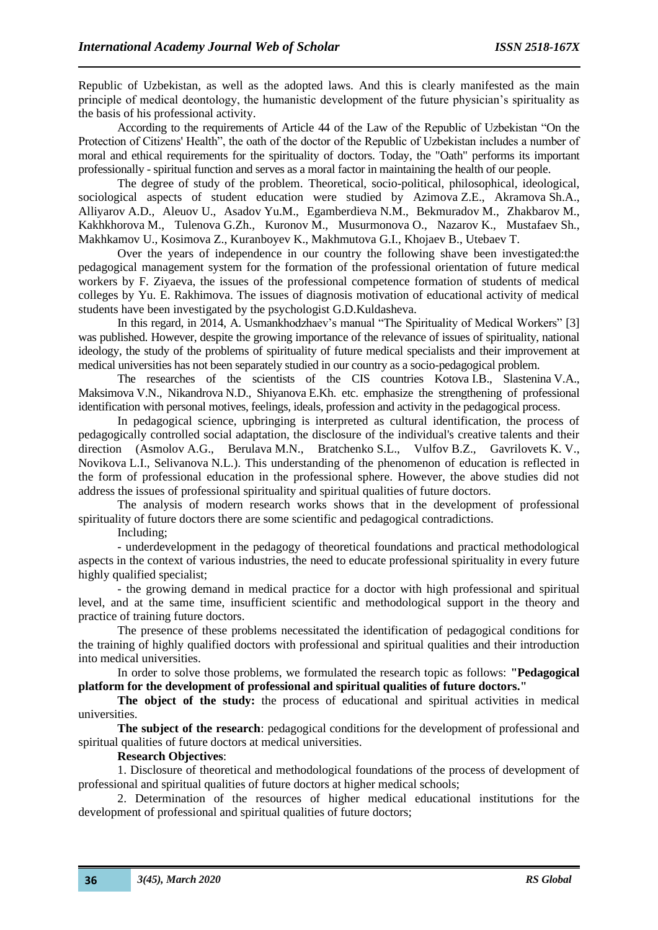Republic of Uzbekistan, as well as the adopted laws. And this is clearly manifested as the main principle of medical deontology, the humanistic development of the future physician's spirituality as the basis of his professional activity.

According to the requirements of Article 44 of the Law of the Republic of Uzbekistan "On the Protection of Citizens' Health", the oath of the doctor of the Republic of Uzbekistan includes a number of moral and ethical requirements for the spirituality of doctors. Today, the "Oath" performs its important professionally - spiritual function and serves as a moral factor in maintaining the health of our people.

The degree of study of the problem. Theoretical, socio-political, philosophical, ideological, sociological aspects of student education were studied by Azimova Z.E., Akramova Sh.A., Alliyarov A.D., Aleuov U., Asadov Yu.M., Egamberdieva N.M., Bekmuradov M., Zhakbarov M., Kakhkhorova M., Tulenova G.Zh., Kuronov M., Musurmonova O., Nazarov K., Mustafaev Sh., Makhkamov U., Kosimova Z., Kuranboyev K., Makhmutova G.I., Khojaev B., Utebaev T.

Over the years of independence in our country the following shave been investigated:the pedagogical management system for the formation of the professional orientation of future medical workers by F. Ziyaeva, the issues of the professional competence formation of students of medical colleges by Yu. E. Rakhimova. The issues of diagnosis motivation of educational activity of medical students have been investigated by the psychologist G.D.Kuldasheva.

In this regard, in 2014, A. Usmankhodzhaev's manual "The Spirituality of Medical Workers" [3] was published. However, despite the growing importance of the relevance of issues of spirituality, national ideology, the study of the problems of spirituality of future medical specialists and their improvement at medical universities has not been separately studied in our country as a socio-pedagogical problem.

The researches of the scientists of the CIS countries Kotova I.B., Slastenina V.A., Maksimova V.N., Nikandrova N.D., Shiyanova E.Kh. etc. emphasize the strengthening of professional identification with personal motives, feelings, ideals, profession and activity in the pedagogical process.

In pedagogical science, upbringing is interpreted as cultural identification, the process of pedagogically controlled social adaptation, the disclosure of the individual's creative talents and their direction (Asmolov A.G., Berulava M.N., Bratchenko S.L., Vulfov B.Z., Gavrilovets K. V., Novikova L.I., Selivanova N.L.). This understanding of the phenomenon of education is reflected in the form of professional education in the professional sphere. However, the above studies did not address the issues of professional spirituality and spiritual qualities of future doctors.

The analysis of modern research works shows that in the development of professional spirituality of future doctors there are some scientific and pedagogical contradictions.

Including;

- underdevelopment in the pedagogy of theoretical foundations and practical methodological aspects in the context of various industries, the need to educate professional spirituality in every future highly qualified specialist;

- the growing demand in medical practice for a doctor with high professional and spiritual level, and at the same time, insufficient scientific and methodological support in the theory and practice of training future doctors.

The presence of these problems necessitated the identification of pedagogical conditions for the training of highly qualified doctors with professional and spiritual qualities and their introduction into medical universities.

In order to solve those problems, we formulated the research topic as follows: **"Pedagogical platform for the development of professional and spiritual qualities of future doctors."**

The object of the study: the process of educational and spiritual activities in medical universities.

**The subject of the research**: pedagogical conditions for the development of professional and spiritual qualities of future doctors at medical universities.

## **Research Objectives**:

1. Disclosure of theoretical and methodological foundations of the process of development of professional and spiritual qualities of future doctors at higher medical schools;

2. Determination of the resources of higher medical educational institutions for the development of professional and spiritual qualities of future doctors;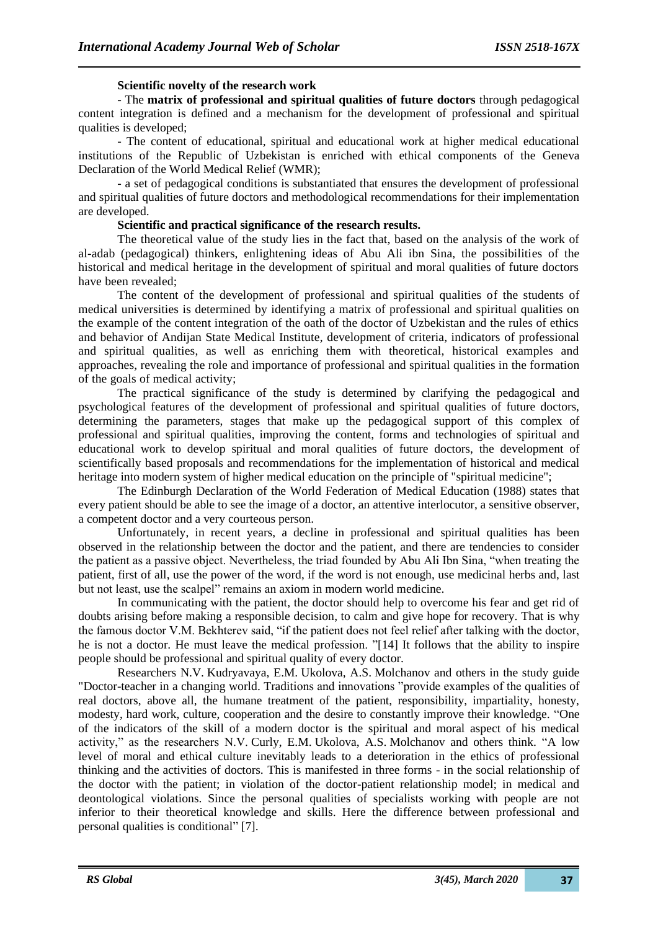## **Scientific novelty of the research work**

- The **matrix of professional and spiritual qualities of future doctors** through pedagogical content integration is defined and a mechanism for the development of professional and spiritual qualities is developed;

- The content of educational, spiritual and educational work at higher medical educational institutions of the Republic of Uzbekistan is enriched with ethical components of the Geneva Declaration of the World Medical Relief (WMR);

- a set of pedagogical conditions is substantiated that ensures the development of professional and spiritual qualities of future doctors and methodological recommendations for their implementation are developed.

## **Scientific and practical significance of the research results.**

The theoretical value of the study lies in the fact that, based on the analysis of the work of al-adab (pedagogical) thinkers, enlightening ideas of Abu Ali ibn Sina, the possibilities of the historical and medical heritage in the development of spiritual and moral qualities of future doctors have been revealed;

The content of the development of professional and spiritual qualities of the students of medical universities is determined by identifying a matrix of professional and spiritual qualities on the example of the content integration of the oath of the doctor of Uzbekistan and the rules of ethics and behavior of Andijan State Medical Institute, development of criteria, indicators of professional and spiritual qualities, as well as enriching them with theoretical, historical examples and approaches, revealing the role and importance of professional and spiritual qualities in the formation of the goals of medical activity;

The practical significance of the study is determined by clarifying the pedagogical and psychological features of the development of professional and spiritual qualities of future doctors, determining the parameters, stages that make up the pedagogical support of this complex of professional and spiritual qualities, improving the content, forms and technologies of spiritual and educational work to develop spiritual and moral qualities of future doctors, the development of scientifically based proposals and recommendations for the implementation of historical and medical heritage into modern system of higher medical education on the principle of "spiritual medicine";

The Edinburgh Declaration of the World Federation of Medical Education (1988) states that every patient should be able to see the image of a doctor, an attentive interlocutor, a sensitive observer, a competent doctor and a very courteous person.

Unfortunately, in recent years, a decline in professional and spiritual qualities has been observed in the relationship between the doctor and the patient, and there are tendencies to consider the patient as a passive object. Nevertheless, the triad founded by Abu Ali Ibn Sina, "when treating the patient, first of all, use the power of the word, if the word is not enough, use medicinal herbs and, last but not least, use the scalpel" remains an axiom in modern world medicine.

In communicating with the patient, the doctor should help to overcome his fear and get rid of doubts arising before making a responsible decision, to calm and give hope for recovery. That is why the famous doctor V.M. Bekhterev said, "if the patient does not feel relief after talking with the doctor, he is not a doctor. He must leave the medical profession. "[14] It follows that the ability to inspire people should be professional and spiritual quality of every doctor.

Researchers N.V. Kudryavaya, E.M. Ukolova, A.S. Molchanov and others in the study guide "Doctor-teacher in a changing world. Traditions and innovations "provide examples of the qualities of real doctors, above all, the humane treatment of the patient, responsibility, impartiality, honesty, modesty, hard work, culture, cooperation and the desire to constantly improve their knowledge. "One of the indicators of the skill of a modern doctor is the spiritual and moral aspect of his medical activity," as the researchers N.V. Curly, E.M. Ukolova, A.S. Molchanov and others think. "A low level of moral and ethical culture inevitably leads to a deterioration in the ethics of professional thinking and the activities of doctors. This is manifested in three forms - in the social relationship of the doctor with the patient; in violation of the doctor-patient relationship model; in medical and deontological violations. Since the personal qualities of specialists working with people are not inferior to their theoretical knowledge and skills. Here the difference between professional and personal qualities is conditional" [7].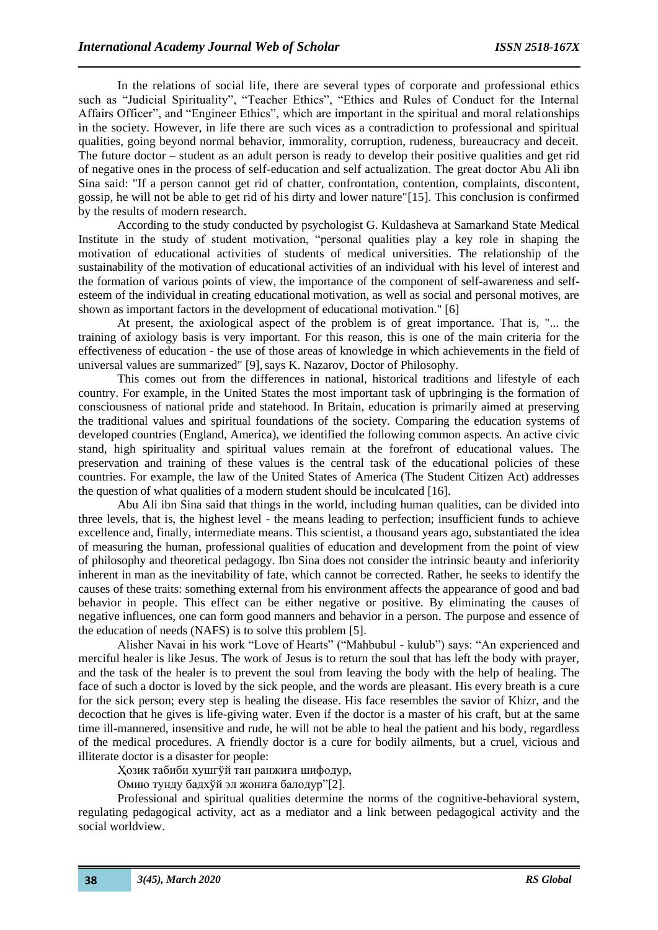In the relations of social life, there are several types of corporate and professional ethics such as "Judicial Spirituality", "Teacher Ethics", "Ethics and Rules of Conduct for the Internal Affairs Officer", and "Engineer Ethics", which are important in the spiritual and moral relationships in the society. However, in life there are such vices as a contradiction to professional and spiritual qualities, going beyond normal behavior, immorality, corruption, rudeness, bureaucracy and deceit. The future doctor – student as an adult person is ready to develop their positive qualities and get rid of negative ones in the process of self-education and self actualization. The great doctor Abu Ali ibn Sina said: "If a person cannot get rid of chatter, confrontation, contention, complaints, discontent, gossip, he will not be able to get rid of his dirty and lower nature"[15]. This conclusion is confirmed by the results of modern research.

According to the study conducted by psychologist G. Kuldasheva at Samarkand State Medical Institute in the study of student motivation, "personal qualities play a key role in shaping the motivation of educational activities of students of medical universities. The relationship of the sustainability of the motivation of educational activities of an individual with his level of interest and the formation of various points of view, the importance of the component of self-awareness and selfesteem of the individual in creating educational motivation, as well as social and personal motives, are shown as important factors in the development of educational motivation." [6]

At present, the axiological aspect of the problem is of great importance. That is, "... the training of axiology basis is very important. For this reason, this is one of the main criteria for the effectiveness of education - the use of those areas of knowledge in which achievements in the field of universal values are summarized" [9], says K. Nazarov, Doctor of Philosophy.

This comes out from the differences in national, historical traditions and lifestyle of each country. For example, in the United States the most important task of upbringing is the formation of consciousness of national pride and statehood. In Britain, education is primarily aimed at preserving the traditional values and spiritual foundations of the society. Comparing the education systems of developed countries (England, America), we identified the following common aspects. An active civic stand, high spirituality and spiritual values remain at the forefront of educational values. The preservation and training of these values is the central task of the educational policies of these countries. For example, the law of the United States of America (The Student Citizen Act) addresses the question of what qualities of a modern student should be inculcated [16].

Abu Ali ibn Sina said that things in the world, including human qualities, can be divided into three levels, that is, the highest level - the means leading to perfection; insufficient funds to achieve excellence and, finally, intermediate means. This scientist, a thousand years ago, substantiated the idea of measuring the human, professional qualities of education and development from the point of view of philosophy and theoretical pedagogy. Ibn Sina does not consider the intrinsic beauty and inferiority inherent in man as the inevitability of fate, which cannot be corrected. Rather, he seeks to identify the causes of these traits: something external from his environment affects the appearance of good and bad behavior in people. This effect can be either negative or positive. By eliminating the causes of negative influences, one can form good manners and behavior in a person. The purpose and essence of the education of needs (NAFS) is to solve this problem [5].

Alisher Navai in his work "Love of Hearts" ("Mahbubul - kulub") says: "An experienced and merciful healer is like Jesus. The work of Jesus is to return the soul that has left the body with prayer, and the task of the healer is to prevent the soul from leaving the body with the help of healing. The face of such a doctor is loved by the sick people, and the words are pleasant. His every breath is a cure for the sick person; every step is healing the disease. His face resembles the savior of Khizr, and the decoction that he gives is life-giving water. Even if the doctor is a master of his craft, but at the same time ill-mannered, insensitive and rude, he will not be able to heal the patient and his body, regardless of the medical procedures. A friendly doctor is a cure for bodily ailments, but a cruel, vicious and illiterate doctor is a disaster for people:

Ҳозиқ табиби хушгўй тан ранжиға шифодур,

Омию тунду бадхўй эл жониға балодур"[2].

Professional and spiritual qualities determine the norms of the cognitive-behavioral system, regulating pedagogical activity, act as a mediator and a link between pedagogical activity and the social worldview.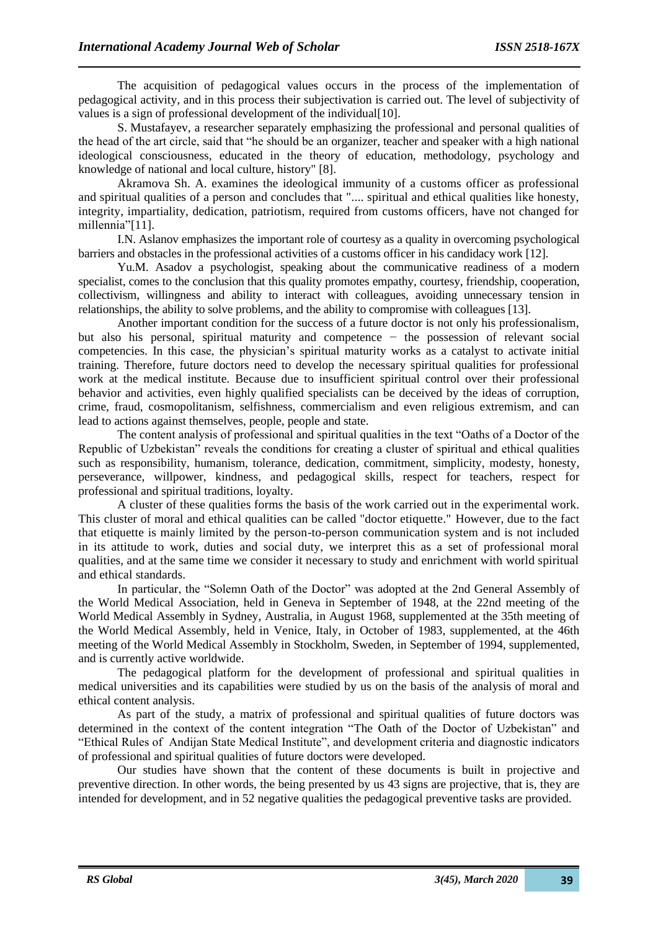The acquisition of pedagogical values occurs in the process of the implementation of pedagogical activity, and in this process their subjectivation is carried out. The level of subjectivity of values is a sign of professional development of the individual [10].

S. Mustafayev, a researcher separately emphasizing the professional and personal qualities of the head of the art circle, said that "he should be an organizer, teacher and speaker with a high national ideological consciousness, educated in the theory of education, methodology, psychology and knowledge of national and local culture, history" [8].

Akramova Sh. A. examines the ideological immunity of a customs officer as professional and spiritual qualities of a person and concludes that ".... spiritual and ethical qualities like honesty, integrity, impartiality, dedication, patriotism, required from customs officers, have not changed for millennia"[11].

I.N. Aslanov emphasizes the important role of courtesy as a quality in overcoming psychological barriers and obstacles in the professional activities of a customs officer in his candidacy work [12].

Yu.M. Asadov a psychologist, speaking about the communicative readiness of a modern specialist, comes to the conclusion that this quality promotes empathy, courtesy, friendship, cooperation, collectivism, willingness and ability to interact with colleagues, avoiding unnecessary tension in relationships, the ability to solve problems, and the ability to compromise with colleagues [13].

Another important condition for the success of a future doctor is not only his professionalism, but also his personal, spiritual maturity and competence − the possession of relevant social competencies. In this case, the physician's spiritual maturity works as a catalyst to activate initial training. Therefore, future doctors need to develop the necessary spiritual qualities for professional work at the medical institute. Because due to insufficient spiritual control over their professional behavior and activities, even highly qualified specialists can be deceived by the ideas of corruption, crime, fraud, cosmopolitanism, selfishness, commercialism and even religious extremism, and can lead to actions against themselves, people, people and state.

The content analysis of professional and spiritual qualities in the text "Oaths of a Doctor of the Republic of Uzbekistan" reveals the conditions for creating a cluster of spiritual and ethical qualities such as responsibility, humanism, tolerance, dedication, commitment, simplicity, modesty, honesty, perseverance, willpower, kindness, and pedagogical skills, respect for teachers, respect for professional and spiritual traditions, loyalty.

A cluster of these qualities forms the basis of the work carried out in the experimental work. This cluster of moral and ethical qualities can be called "doctor etiquette." However, due to the fact that etiquette is mainly limited by the person-to-person communication system and is not included in its attitude to work, duties and social duty, we interpret this as a set of professional moral qualities, and at the same time we consider it necessary to study and enrichment with world spiritual and ethical standards.

In particular, the "Solemn Oath of the Doctor" was adopted at the 2nd General Assembly of the World Medical Association, held in Geneva in September of 1948, at the 22nd meeting of the World Medical Assembly in Sydney, Australia, in August 1968, supplemented at the 35th meeting of the World Medical Assembly, held in Venice, Italy, in October of 1983, supplemented, at the 46th meeting of the World Medical Assembly in Stockholm, Sweden, in September of 1994, supplemented, and is currently active worldwide.

The pedagogical platform for the development of professional and spiritual qualities in medical universities and its capabilities were studied by us on the basis of the analysis of moral and ethical content analysis.

As part of the study, a matrix of professional and spiritual qualities of future doctors was determined in the context of the content integration "The Oath of the Doctor of Uzbekistan" and "Ethical Rules of Andijan State Medical Institute", and development criteria and diagnostic indicators of professional and spiritual qualities of future doctors were developed.

Our studies have shown that the content of these documents is built in projective and preventive direction. In other words, the being presented by us 43 signs are projective, that is, they are intended for development, and in 52 negative qualities the pedagogical preventive tasks are provided.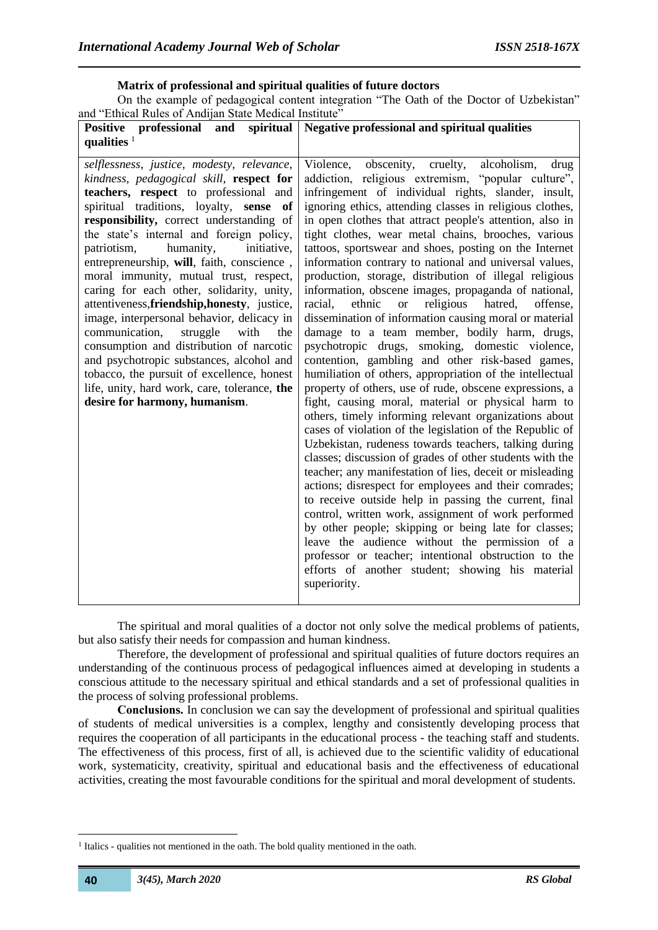#### **Matrix of professional and spiritual qualities of future doctors**

On the example of pedagogical content integration "The Oath of the Doctor of Uzbekistan" and "Ethical Rules of Andijan State Medical Institute"

| spiritual<br>professional<br><b>Positive</b><br>and                                                                                                                                                                                                                                                                                                                                                                                                                                                                                                                                                                                                                                                                                                                                                                  | <b>Negative professional and spiritual qualities</b>                                                                                                                                                                                                                                                                                                                                                                                                                                                                                                                                                                                                                                                                                                                                                                                                                                                                                                                                                                                                                                                                                                                                                                                                                                                                                                                                                                                                                                                                                                                                                                                                                                                                                                                               |
|----------------------------------------------------------------------------------------------------------------------------------------------------------------------------------------------------------------------------------------------------------------------------------------------------------------------------------------------------------------------------------------------------------------------------------------------------------------------------------------------------------------------------------------------------------------------------------------------------------------------------------------------------------------------------------------------------------------------------------------------------------------------------------------------------------------------|------------------------------------------------------------------------------------------------------------------------------------------------------------------------------------------------------------------------------------------------------------------------------------------------------------------------------------------------------------------------------------------------------------------------------------------------------------------------------------------------------------------------------------------------------------------------------------------------------------------------------------------------------------------------------------------------------------------------------------------------------------------------------------------------------------------------------------------------------------------------------------------------------------------------------------------------------------------------------------------------------------------------------------------------------------------------------------------------------------------------------------------------------------------------------------------------------------------------------------------------------------------------------------------------------------------------------------------------------------------------------------------------------------------------------------------------------------------------------------------------------------------------------------------------------------------------------------------------------------------------------------------------------------------------------------------------------------------------------------------------------------------------------------|
| qualities $1$                                                                                                                                                                                                                                                                                                                                                                                                                                                                                                                                                                                                                                                                                                                                                                                                        |                                                                                                                                                                                                                                                                                                                                                                                                                                                                                                                                                                                                                                                                                                                                                                                                                                                                                                                                                                                                                                                                                                                                                                                                                                                                                                                                                                                                                                                                                                                                                                                                                                                                                                                                                                                    |
| selflessness, justice, modesty, relevance,<br>kindness, pedagogical skill, respect for<br>teachers, respect to professional and<br>spiritual traditions, loyalty, sense of<br>responsibility, correct understanding of<br>the state's internal and foreign policy,<br>humanity,<br>initiative,<br>patriotism,<br>entrepreneurship, will, faith, conscience,<br>moral immunity, mutual trust, respect,<br>caring for each other, solidarity, unity,<br>attentiveness, friendship, honesty, justice,<br>image, interpersonal behavior, delicacy in<br>communication,<br>struggle<br>with<br>the<br>consumption and distribution of narcotic<br>and psychotropic substances, alcohol and<br>tobacco, the pursuit of excellence, honest<br>life, unity, hard work, care, tolerance, the<br>desire for harmony, humanism. | obscenity,<br>Violence,<br>alcoholism,<br>cruelty,<br>drug<br>addiction, religious extremism, "popular culture",<br>infringement of individual rights, slander, insult,<br>ignoring ethics, attending classes in religious clothes,<br>in open clothes that attract people's attention, also in<br>tight clothes, wear metal chains, brooches, various<br>tattoos, sportswear and shoes, posting on the Internet<br>information contrary to national and universal values,<br>production, storage, distribution of illegal religious<br>information, obscene images, propaganda of national,<br>ethnic<br>religious hatred,<br>racial,<br>offense,<br><b>or</b><br>dissemination of information causing moral or material<br>damage to a team member, bodily harm, drugs,<br>psychotropic drugs, smoking, domestic violence,<br>contention, gambling and other risk-based games,<br>humiliation of others, appropriation of the intellectual<br>property of others, use of rude, obscene expressions, a<br>fight, causing moral, material or physical harm to<br>others, timely informing relevant organizations about<br>cases of violation of the legislation of the Republic of<br>Uzbekistan, rudeness towards teachers, talking during<br>classes; discussion of grades of other students with the<br>teacher; any manifestation of lies, deceit or misleading<br>actions; disrespect for employees and their comrades;<br>to receive outside help in passing the current, final<br>control, written work, assignment of work performed<br>by other people; skipping or being late for classes;<br>leave the audience without the permission of a<br>professor or teacher; intentional obstruction to the<br>efforts of another student; showing his material<br>superiority. |

The spiritual and moral qualities of a doctor not only solve the medical problems of patients, but also satisfy their needs for compassion and human kindness.

Therefore, the development of professional and spiritual qualities of future doctors requires an understanding of the continuous process of pedagogical influences aimed at developing in students a conscious attitude to the necessary spiritual and ethical standards and a set of professional qualities in the process of solving professional problems.

**Сonclusions.** In conclusion we can say the development of professional and spiritual qualities of students of medical universities is a complex, lengthy and consistently developing process that requires the cooperation of all participants in the educational process - the teaching staff and students. The effectiveness of this process, first of all, is achieved due to the scientific validity of educational work, systematicity, creativity, spiritual and educational basis and the effectiveness of educational activities, creating the most favourable conditions for the spiritual and moral development of students.

<sup>&</sup>lt;sup>1</sup> Italics - qualities not mentioned in the oath. The bold quality mentioned in the oath.